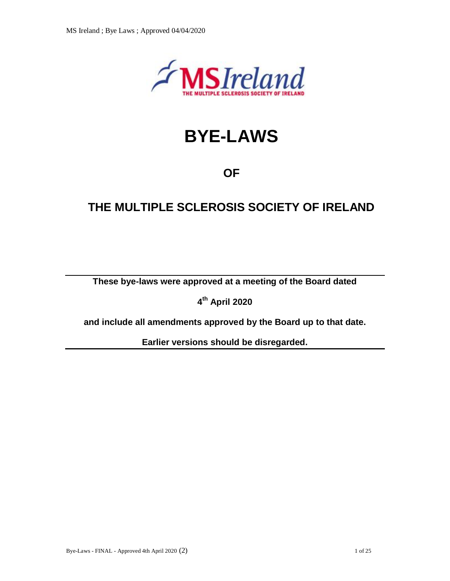

# **BYE-LAWS**

## **OF**

# **THE MULTIPLE SCLEROSIS SOCIETY OF IRELAND**

**These bye-laws were approved at a meeting of the Board dated**

**4 th April 2020**

**and include all amendments approved by the Board up to that date.**

**Earlier versions should be disregarded.**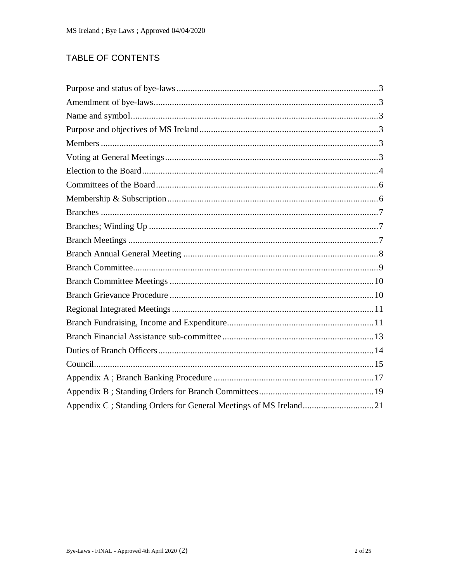## TABLE OF CONTENTS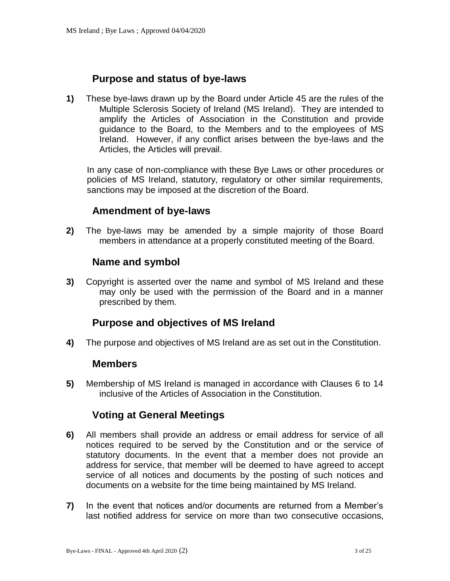## **Purpose and status of bye-laws**

<span id="page-2-0"></span>**1)** These bye-laws drawn up by the Board under Article 45 are the rules of the Multiple Sclerosis Society of Ireland (MS Ireland). They are intended to amplify the Articles of Association in the Constitution and provide guidance to the Board, to the Members and to the employees of MS Ireland. However, if any conflict arises between the bye-laws and the Articles, the Articles will prevail.

In any case of non-compliance with these Bye Laws or other procedures or policies of MS Ireland, statutory, regulatory or other similar requirements, sanctions may be imposed at the discretion of the Board.

## **Amendment of bye-laws**

<span id="page-2-1"></span>**2)** The bye-laws may be amended by a simple majority of those Board members in attendance at a properly constituted meeting of the Board.

#### **Name and symbol**

<span id="page-2-2"></span>**3)** Copyright is asserted over the name and symbol of MS Ireland and these may only be used with the permission of the Board and in a manner prescribed by them.

## **Purpose and objectives of MS Ireland**

<span id="page-2-4"></span><span id="page-2-3"></span>**4)** The purpose and objectives of MS Ireland are as set out in the Constitution.

#### **Members**

**5)** Membership of MS Ireland is managed in accordance with Clauses 6 to 14 inclusive of the Articles of Association in the Constitution.

## **Voting at General Meetings**

- <span id="page-2-5"></span>**6)** All members shall provide an address or email address for service of all notices required to be served by the Constitution and or the service of statutory documents. In the event that a member does not provide an address for service, that member will be deemed to have agreed to accept service of all notices and documents by the posting of such notices and documents on a website for the time being maintained by MS Ireland.
- **7)** In the event that notices and/or documents are returned from a Member's last notified address for service on more than two consecutive occasions,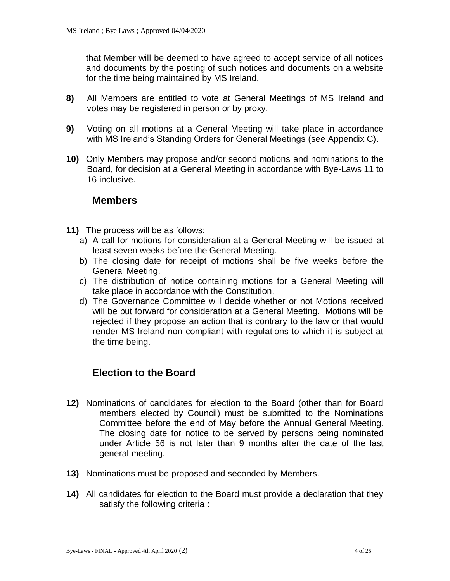that Member will be deemed to have agreed to accept service of all notices and documents by the posting of such notices and documents on a website for the time being maintained by MS Ireland.

- **8)** All Members are entitled to vote at General Meetings of MS Ireland and votes may be registered in person or by proxy.
- **9)** Voting on all motions at a General Meeting will take place in accordance with MS Ireland's Standing Orders for General Meetings (see Appendix C).
- **10)** Only Members may propose and/or second motions and nominations to the Board, for decision at a General Meeting in accordance with Bye-Laws 11 to 16 inclusive.

#### **Members**

- **11)** The process will be as follows;
	- a) A call for motions for consideration at a General Meeting will be issued at least seven weeks before the General Meeting.
	- b) The closing date for receipt of motions shall be five weeks before the General Meeting.
	- c) The distribution of notice containing motions for a General Meeting will take place in accordance with the Constitution.
	- d) The Governance Committee will decide whether or not Motions received will be put forward for consideration at a General Meeting. Motions will be rejected if they propose an action that is contrary to the law or that would render MS Ireland non-compliant with regulations to which it is subject at the time being.

## <span id="page-3-0"></span>**Election to the Board**

- **12)** Nominations of candidates for election to the Board (other than for Board members elected by Council) must be submitted to the Nominations Committee before the end of May before the Annual General Meeting. The closing date for notice to be served by persons being nominated under Article 56 is not later than 9 months after the date of the last general meeting.
- **13)** Nominations must be proposed and seconded by Members.
- **14)** All candidates for election to the Board must provide a declaration that they satisfy the following criteria :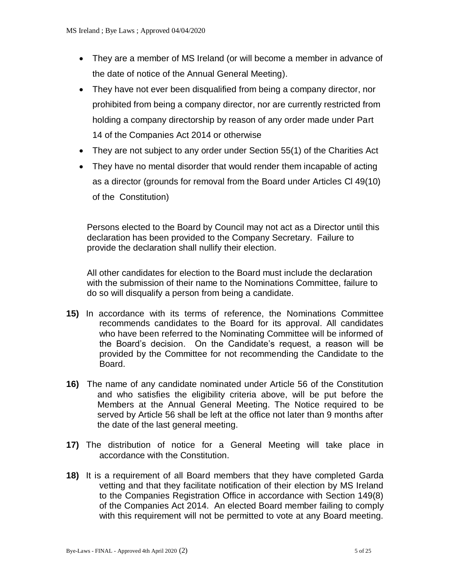- They are a member of MS Ireland (or will become a member in advance of the date of notice of the Annual General Meeting).
- They have not ever been disqualified from being a company director, nor prohibited from being a company director, nor are currently restricted from holding a company directorship by reason of any order made under Part 14 of the Companies Act 2014 or otherwise
- They are not subject to any order under Section 55(1) of the Charities Act
- They have no mental disorder that would render them incapable of acting as a director (grounds for removal from the Board under Articles Cl 49(10) of the Constitution)

Persons elected to the Board by Council may not act as a Director until this declaration has been provided to the Company Secretary. Failure to provide the declaration shall nullify their election.

All other candidates for election to the Board must include the declaration with the submission of their name to the Nominations Committee, failure to do so will disqualify a person from being a candidate.

- **15)** In accordance with its terms of reference, the Nominations Committee recommends candidates to the Board for its approval. All candidates who have been referred to the Nominating Committee will be informed of the Board's decision. On the Candidate's request, a reason will be provided by the Committee for not recommending the Candidate to the Board.
- **16)** The name of any candidate nominated under Article 56 of the Constitution and who satisfies the eligibility criteria above, will be put before the Members at the Annual General Meeting. The Notice required to be served by Article 56 shall be left at the office not later than 9 months after the date of the last general meeting.
- **17)** The distribution of notice for a General Meeting will take place in accordance with the Constitution.
- **18)** It is a requirement of all Board members that they have completed Garda vetting and that they facilitate notification of their election by MS Ireland to the Companies Registration Office in accordance with Section 149(8) of the Companies Act 2014. An elected Board member failing to comply with this requirement will not be permitted to vote at any Board meeting.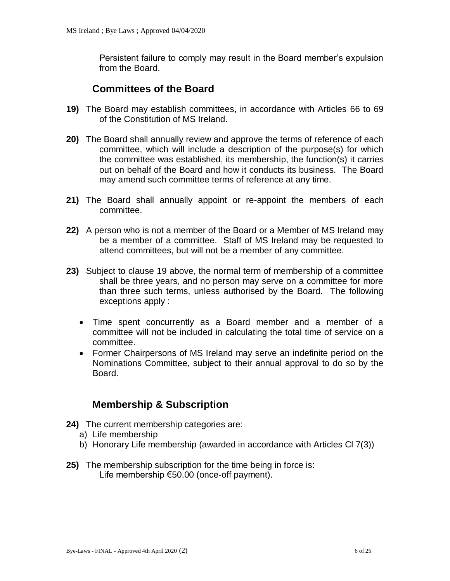Persistent failure to comply may result in the Board member's expulsion from the Board.

## **Committees of the Board**

- <span id="page-5-0"></span>**19)** The Board may establish committees, in accordance with Articles 66 to 69 of the Constitution of MS Ireland.
- **20)** The Board shall annually review and approve the terms of reference of each committee, which will include a description of the purpose(s) for which the committee was established, its membership, the function(s) it carries out on behalf of the Board and how it conducts its business. The Board may amend such committee terms of reference at any time.
- **21)** The Board shall annually appoint or re-appoint the members of each committee.
- **22)** A person who is not a member of the Board or a Member of MS Ireland may be a member of a committee. Staff of MS Ireland may be requested to attend committees, but will not be a member of any committee.
- **23)** Subject to clause 19 above, the normal term of membership of a committee shall be three years, and no person may serve on a committee for more than three such terms, unless authorised by the Board. The following exceptions apply :
	- Time spent concurrently as a Board member and a member of a committee will not be included in calculating the total time of service on a committee.
	- Former Chairpersons of MS Ireland may serve an indefinite period on the Nominations Committee, subject to their annual approval to do so by the Board.

## **Membership & Subscription**

- <span id="page-5-1"></span>**24)** The current membership categories are:
	- a) Life membership
	- b) Honorary Life membership (awarded in accordance with Articles Cl 7(3))
- **25)** The membership subscription for the time being in force is: Life membership €50.00 (once-off payment).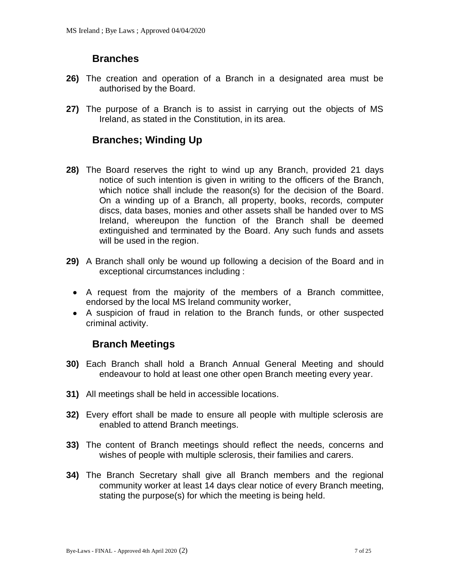## **Branches**

- <span id="page-6-0"></span>**26)** The creation and operation of a Branch in a designated area must be authorised by the Board.
- **27)** The purpose of a Branch is to assist in carrying out the objects of MS Ireland, as stated in the Constitution, in its area.

## <span id="page-6-1"></span>**Branches; Winding Up**

- **28)** The Board reserves the right to wind up any Branch, provided 21 days notice of such intention is given in writing to the officers of the Branch, which notice shall include the reason(s) for the decision of the Board. On a winding up of a Branch, all property, books, records, computer discs, data bases, monies and other assets shall be handed over to MS Ireland, whereupon the function of the Branch shall be deemed extinguished and terminated by the Board. Any such funds and assets will be used in the region.
- **29)** A Branch shall only be wound up following a decision of the Board and in exceptional circumstances including :
	- A request from the majority of the members of a Branch committee, endorsed by the local MS Ireland community worker,
	- A suspicion of fraud in relation to the Branch funds, or other suspected criminal activity.

## **Branch Meetings**

- <span id="page-6-2"></span>**30)** Each Branch shall hold a Branch Annual General Meeting and should endeavour to hold at least one other open Branch meeting every year.
- **31)** All meetings shall be held in accessible locations.
- **32)** Every effort shall be made to ensure all people with multiple sclerosis are enabled to attend Branch meetings.
- **33)** The content of Branch meetings should reflect the needs, concerns and wishes of people with multiple sclerosis, their families and carers.
- **34)** The Branch Secretary shall give all Branch members and the regional community worker at least 14 days clear notice of every Branch meeting, stating the purpose(s) for which the meeting is being held.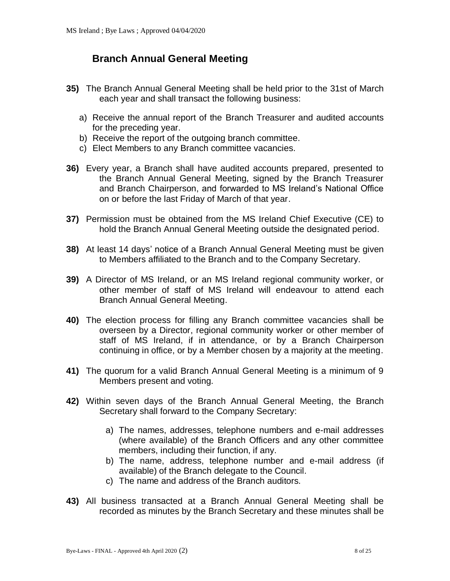## <span id="page-7-0"></span>**Branch Annual General Meeting**

- **35)** The Branch Annual General Meeting shall be held prior to the 31st of March each year and shall transact the following business:
	- a) Receive the annual report of the Branch Treasurer and audited accounts for the preceding year.
	- b) Receive the report of the outgoing branch committee.
	- c) Elect Members to any Branch committee vacancies.
- **36)** Every year, a Branch shall have audited accounts prepared, presented to the Branch Annual General Meeting, signed by the Branch Treasurer and Branch Chairperson, and forwarded to MS Ireland's National Office on or before the last Friday of March of that year.
- **37)** Permission must be obtained from the MS Ireland Chief Executive (CE) to hold the Branch Annual General Meeting outside the designated period.
- **38)** At least 14 days' notice of a Branch Annual General Meeting must be given to Members affiliated to the Branch and to the Company Secretary.
- **39)** A Director of MS Ireland, or an MS Ireland regional community worker, or other member of staff of MS Ireland will endeavour to attend each Branch Annual General Meeting.
- **40)** The election process for filling any Branch committee vacancies shall be overseen by a Director, regional community worker or other member of staff of MS Ireland, if in attendance, or by a Branch Chairperson continuing in office, or by a Member chosen by a majority at the meeting.
- **41)** The quorum for a valid Branch Annual General Meeting is a minimum of 9 Members present and voting.
- **42)** Within seven days of the Branch Annual General Meeting, the Branch Secretary shall forward to the Company Secretary:
	- a) The names, addresses, telephone numbers and e-mail addresses (where available) of the Branch Officers and any other committee members, including their function, if any.
	- b) The name, address, telephone number and e-mail address (if available) of the Branch delegate to the Council.
	- c) The name and address of the Branch auditors.
- **43)** All business transacted at a Branch Annual General Meeting shall be recorded as minutes by the Branch Secretary and these minutes shall be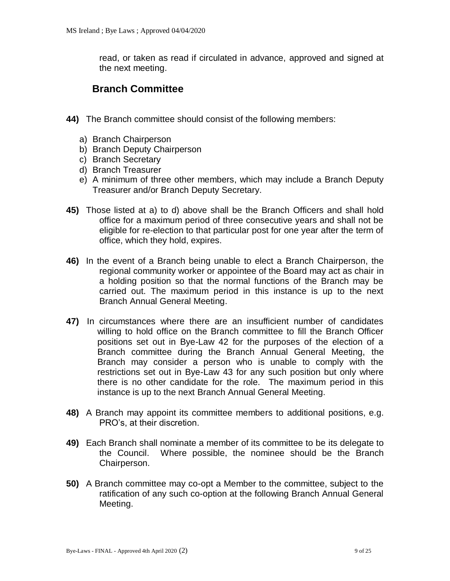read, or taken as read if circulated in advance, approved and signed at the next meeting.

## <span id="page-8-0"></span>**Branch Committee**

- **44)** The Branch committee should consist of the following members:
	- a) Branch Chairperson
	- b) Branch Deputy Chairperson
	- c) Branch Secretary
	- d) Branch Treasurer
	- e) A minimum of three other members, which may include a Branch Deputy Treasurer and/or Branch Deputy Secretary.
- **45)** Those listed at a) to d) above shall be the Branch Officers and shall hold office for a maximum period of three consecutive years and shall not be eligible for re-election to that particular post for one year after the term of office, which they hold, expires.
- **46)** In the event of a Branch being unable to elect a Branch Chairperson, the regional community worker or appointee of the Board may act as chair in a holding position so that the normal functions of the Branch may be carried out. The maximum period in this instance is up to the next Branch Annual General Meeting.
- **47)** In circumstances where there are an insufficient number of candidates willing to hold office on the Branch committee to fill the Branch Officer positions set out in Bye-Law 42 for the purposes of the election of a Branch committee during the Branch Annual General Meeting, the Branch may consider a person who is unable to comply with the restrictions set out in Bye-Law 43 for any such position but only where there is no other candidate for the role. The maximum period in this instance is up to the next Branch Annual General Meeting.
- **48)** A Branch may appoint its committee members to additional positions, e.g. PRO's, at their discretion.
- **49)** Each Branch shall nominate a member of its committee to be its delegate to the Council. Where possible, the nominee should be the Branch Chairperson.
- **50)** A Branch committee may co-opt a Member to the committee, subject to the ratification of any such co-option at the following Branch Annual General Meeting.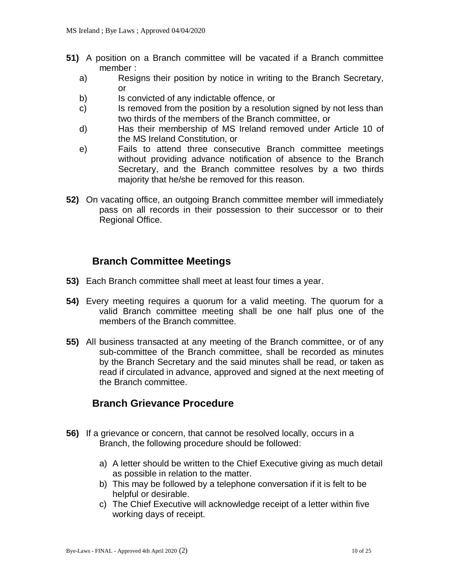- **51)** A position on a Branch committee will be vacated if a Branch committee member :
	- a) Resigns their position by notice in writing to the Branch Secretary, or
	- b) Is convicted of any indictable offence, or
	- c) Is removed from the position by a resolution signed by not less than two thirds of the members of the Branch committee, or
	- d) Has their membership of MS Ireland removed under Article 10 of the MS Ireland Constitution, or
	- e) Fails to attend three consecutive Branch committee meetings without providing advance notification of absence to the Branch Secretary, and the Branch committee resolves by a two thirds majority that he/she be removed for this reason.
- **52)** On vacating office, an outgoing Branch committee member will immediately pass on all records in their possession to their successor or to their Regional Office.

## **Branch Committee Meetings**

- <span id="page-9-0"></span>**53)** Each Branch committee shall meet at least four times a year.
- **54)** Every meeting requires a quorum for a valid meeting. The quorum for a valid Branch committee meeting shall be one half plus one of the members of the Branch committee.
- **55)** All business transacted at any meeting of the Branch committee, or of any sub-committee of the Branch committee, shall be recorded as minutes by the Branch Secretary and the said minutes shall be read, or taken as read if circulated in advance, approved and signed at the next meeting of the Branch committee.

## <span id="page-9-1"></span>**Branch Grievance Procedure**

- **56)** If a grievance or concern, that cannot be resolved locally, occurs in a Branch, the following procedure should be followed:
	- a) A letter should be written to the Chief Executive giving as much detail as possible in relation to the matter.
	- b) This may be followed by a telephone conversation if it is felt to be helpful or desirable.
	- c) The Chief Executive will acknowledge receipt of a letter within five working days of receipt.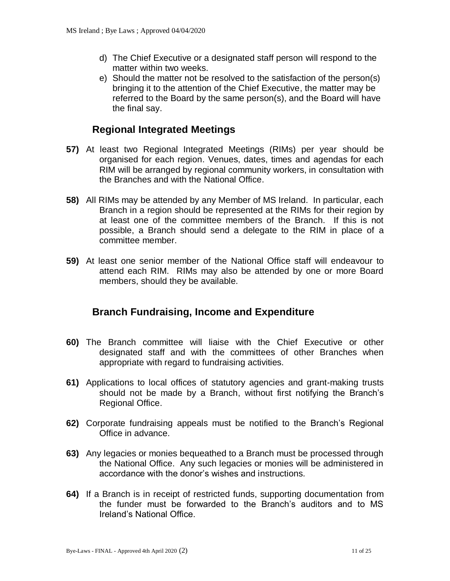- d) The Chief Executive or a designated staff person will respond to the matter within two weeks.
- e) Should the matter not be resolved to the satisfaction of the person(s) bringing it to the attention of the Chief Executive, the matter may be referred to the Board by the same person(s), and the Board will have the final say.

## **Regional Integrated Meetings**

- <span id="page-10-0"></span>**57)** At least two Regional Integrated Meetings (RIMs) per year should be organised for each region. Venues, dates, times and agendas for each RIM will be arranged by regional community workers, in consultation with the Branches and with the National Office.
- **58)** All RIMs may be attended by any Member of MS Ireland. In particular, each Branch in a region should be represented at the RIMs for their region by at least one of the committee members of the Branch. If this is not possible, a Branch should send a delegate to the RIM in place of a committee member.
- **59)** At least one senior member of the National Office staff will endeavour to attend each RIM. RIMs may also be attended by one or more Board members, should they be available.

## <span id="page-10-1"></span>**Branch Fundraising, Income and Expenditure**

- **60)** The Branch committee will liaise with the Chief Executive or other designated staff and with the committees of other Branches when appropriate with regard to fundraising activities.
- **61)** Applications to local offices of statutory agencies and grant-making trusts should not be made by a Branch, without first notifying the Branch's Regional Office.
- **62)** Corporate fundraising appeals must be notified to the Branch's Regional Office in advance.
- **63)** Any legacies or monies bequeathed to a Branch must be processed through the National Office. Any such legacies or monies will be administered in accordance with the donor's wishes and instructions.
- **64)** If a Branch is in receipt of restricted funds, supporting documentation from the funder must be forwarded to the Branch's auditors and to MS Ireland's National Office.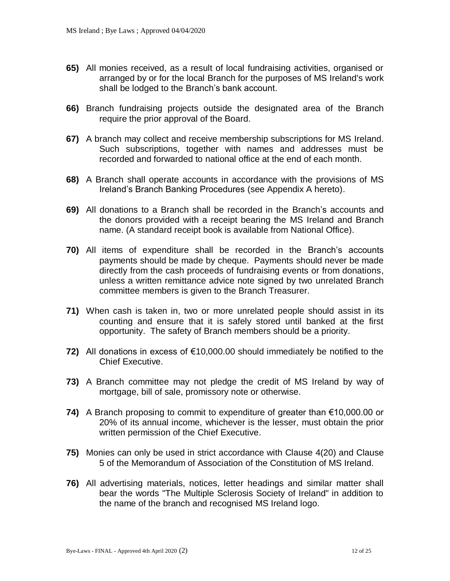- **65)** All monies received, as a result of local fundraising activities, organised or arranged by or for the local Branch for the purposes of MS Ireland's work shall be lodged to the Branch's bank account.
- **66)** Branch fundraising projects outside the designated area of the Branch require the prior approval of the Board.
- **67)** A branch may collect and receive membership subscriptions for MS Ireland. Such subscriptions, together with names and addresses must be recorded and forwarded to national office at the end of each month.
- **68)** A Branch shall operate accounts in accordance with the provisions of MS Ireland's Branch Banking Procedures (see Appendix A hereto).
- **69)** All donations to a Branch shall be recorded in the Branch's accounts and the donors provided with a receipt bearing the MS Ireland and Branch name. (A standard receipt book is available from National Office).
- **70)** All items of expenditure shall be recorded in the Branch's accounts payments should be made by cheque. Payments should never be made directly from the cash proceeds of fundraising events or from donations, unless a written remittance advice note signed by two unrelated Branch committee members is given to the Branch Treasurer.
- **71)** When cash is taken in, two or more unrelated people should assist in its counting and ensure that it is safely stored until banked at the first opportunity. The safety of Branch members should be a priority.
- **72)** All donations in excess of €10,000.00 should immediately be notified to the Chief Executive.
- **73)** A Branch committee may not pledge the credit of MS Ireland by way of mortgage, bill of sale, promissory note or otherwise.
- **74)** A Branch proposing to commit to expenditure of greater than €10,000.00 or 20% of its annual income, whichever is the lesser, must obtain the prior written permission of the Chief Executive.
- **75)** Monies can only be used in strict accordance with Clause 4(20) and Clause 5 of the Memorandum of Association of the Constitution of MS Ireland.
- **76)** All advertising materials, notices, letter headings and similar matter shall bear the words "The Multiple Sclerosis Society of Ireland" in addition to the name of the branch and recognised MS Ireland logo.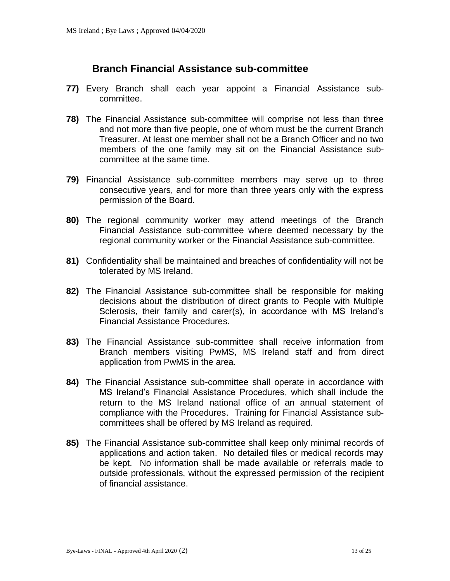## **Branch Financial Assistance sub-committee**

- <span id="page-12-0"></span>**77)** Every Branch shall each year appoint a Financial Assistance subcommittee.
- **78)** The Financial Assistance sub-committee will comprise not less than three and not more than five people, one of whom must be the current Branch Treasurer. At least one member shall not be a Branch Officer and no two members of the one family may sit on the Financial Assistance subcommittee at the same time.
- **79)** Financial Assistance sub-committee members may serve up to three consecutive years, and for more than three years only with the express permission of the Board.
- **80)** The regional community worker may attend meetings of the Branch Financial Assistance sub-committee where deemed necessary by the regional community worker or the Financial Assistance sub-committee.
- **81)** Confidentiality shall be maintained and breaches of confidentiality will not be tolerated by MS Ireland.
- **82)** The Financial Assistance sub-committee shall be responsible for making decisions about the distribution of direct grants to People with Multiple Sclerosis, their family and carer(s), in accordance with MS Ireland's Financial Assistance Procedures.
- **83)** The Financial Assistance sub-committee shall receive information from Branch members visiting PwMS, MS Ireland staff and from direct application from PwMS in the area.
- **84)** The Financial Assistance sub-committee shall operate in accordance with MS Ireland's Financial Assistance Procedures, which shall include the return to the MS Ireland national office of an annual statement of compliance with the Procedures. Training for Financial Assistance subcommittees shall be offered by MS Ireland as required.
- **85)** The Financial Assistance sub-committee shall keep only minimal records of applications and action taken. No detailed files or medical records may be kept. No information shall be made available or referrals made to outside professionals, without the expressed permission of the recipient of financial assistance.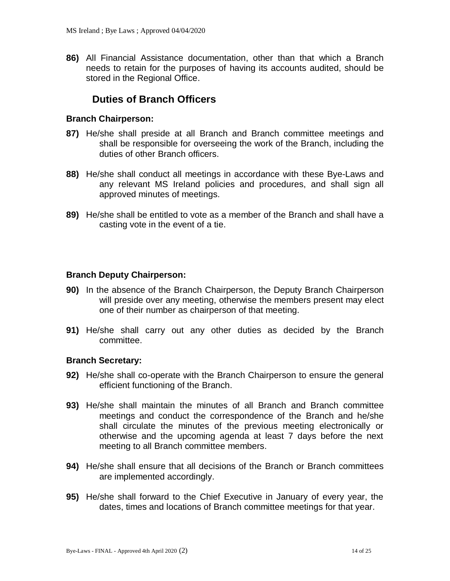**86)** All Financial Assistance documentation, other than that which a Branch needs to retain for the purposes of having its accounts audited, should be stored in the Regional Office.

## **Duties of Branch Officers**

#### <span id="page-13-0"></span>**Branch Chairperson:**

- **87)** He/she shall preside at all Branch and Branch committee meetings and shall be responsible for overseeing the work of the Branch, including the duties of other Branch officers.
- **88)** He/she shall conduct all meetings in accordance with these Bye-Laws and any relevant MS Ireland policies and procedures, and shall sign all approved minutes of meetings.
- **89)** He/she shall be entitled to vote as a member of the Branch and shall have a casting vote in the event of a tie.

#### **Branch Deputy Chairperson:**

- **90)** In the absence of the Branch Chairperson, the Deputy Branch Chairperson will preside over any meeting, otherwise the members present may elect one of their number as chairperson of that meeting.
- **91)** He/she shall carry out any other duties as decided by the Branch committee.

#### **Branch Secretary:**

- **92)** He/she shall co-operate with the Branch Chairperson to ensure the general efficient functioning of the Branch.
- **93)** He/she shall maintain the minutes of all Branch and Branch committee meetings and conduct the correspondence of the Branch and he/she shall circulate the minutes of the previous meeting electronically or otherwise and the upcoming agenda at least 7 days before the next meeting to all Branch committee members.
- **94)** He/she shall ensure that all decisions of the Branch or Branch committees are implemented accordingly.
- **95)** He/she shall forward to the Chief Executive in January of every year, the dates, times and locations of Branch committee meetings for that year.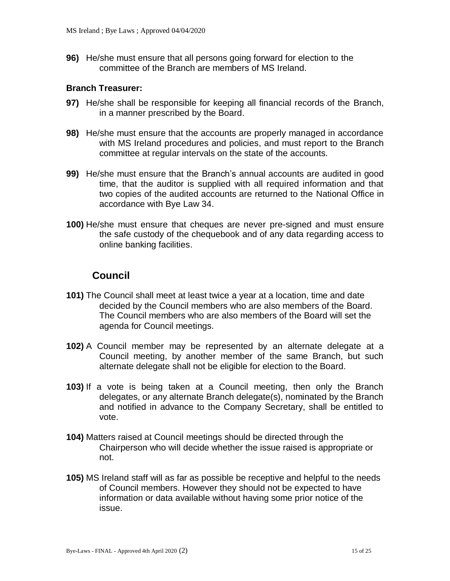**96)** He/she must ensure that all persons going forward for election to the committee of the Branch are members of MS Ireland.

#### **Branch Treasurer:**

- **97)** He/she shall be responsible for keeping all financial records of the Branch, in a manner prescribed by the Board.
- **98)** He/she must ensure that the accounts are properly managed in accordance with MS Ireland procedures and policies, and must report to the Branch committee at regular intervals on the state of the accounts.
- **99)** He/she must ensure that the Branch's annual accounts are audited in good time, that the auditor is supplied with all required information and that two copies of the audited accounts are returned to the National Office in accordance with Bye Law 34.
- **100)** He/she must ensure that cheques are never pre-signed and must ensure the safe custody of the chequebook and of any data regarding access to online banking facilities.

## **Council**

- <span id="page-14-0"></span>**101)** The Council shall meet at least twice a year at a location, time and date decided by the Council members who are also members of the Board. The Council members who are also members of the Board will set the agenda for Council meetings.
- **102)** A Council member may be represented by an alternate delegate at a Council meeting, by another member of the same Branch, but such alternate delegate shall not be eligible for election to the Board.
- **103)** If a vote is being taken at a Council meeting, then only the Branch delegates, or any alternate Branch delegate(s), nominated by the Branch and notified in advance to the Company Secretary, shall be entitled to vote.
- **104)** Matters raised at Council meetings should be directed through the Chairperson who will decide whether the issue raised is appropriate or not.
- **105)** MS Ireland staff will as far as possible be receptive and helpful to the needs of Council members. However they should not be expected to have information or data available without having some prior notice of the issue.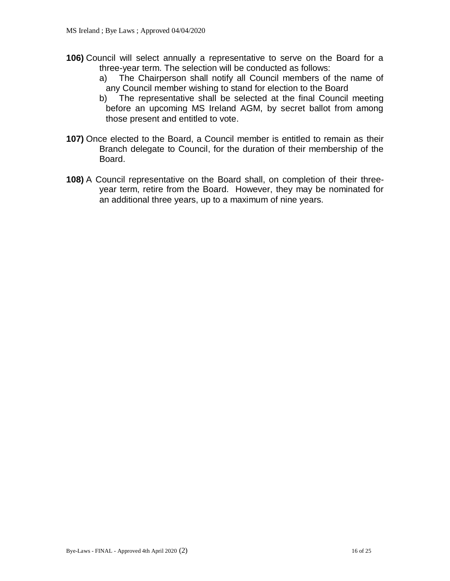- **106)** Council will select annually a representative to serve on the Board for a three-year term. The selection will be conducted as follows:
	- a) The Chairperson shall notify all Council members of the name of any Council member wishing to stand for election to the Board
	- b) The representative shall be selected at the final Council meeting before an upcoming MS Ireland AGM, by secret ballot from among those present and entitled to vote.
- **107)** Once elected to the Board, a Council member is entitled to remain as their Branch delegate to Council, for the duration of their membership of the Board.
- **108)** A Council representative on the Board shall, on completion of their threeyear term, retire from the Board. However, they may be nominated for an additional three years, up to a maximum of nine years.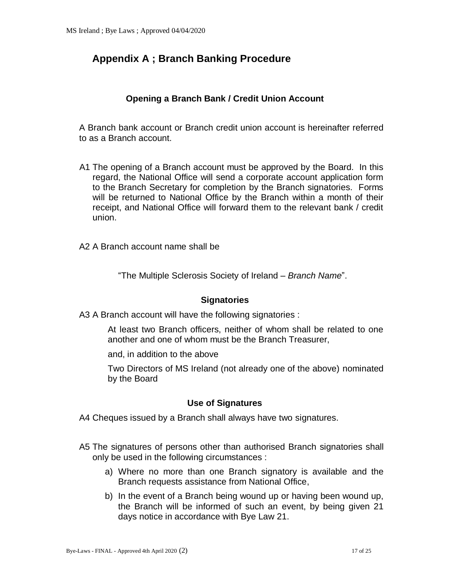## <span id="page-16-0"></span>**Appendix A ; Branch Banking Procedure**

#### **Opening a Branch Bank / Credit Union Account**

A Branch bank account or Branch credit union account is hereinafter referred to as a Branch account.

- A1 The opening of a Branch account must be approved by the Board. In this regard, the National Office will send a corporate account application form to the Branch Secretary for completion by the Branch signatories. Forms will be returned to National Office by the Branch within a month of their receipt, and National Office will forward them to the relevant bank / credit union.
- A2 A Branch account name shall be

"The Multiple Sclerosis Society of Ireland *– Branch Name*".

#### **Signatories**

A3 A Branch account will have the following signatories :

At least two Branch officers, neither of whom shall be related to one another and one of whom must be the Branch Treasurer,

and, in addition to the above

Two Directors of MS Ireland (not already one of the above) nominated by the Board

#### **Use of Signatures**

A4 Cheques issued by a Branch shall always have two signatures.

- A5 The signatures of persons other than authorised Branch signatories shall only be used in the following circumstances :
	- a) Where no more than one Branch signatory is available and the Branch requests assistance from National Office,
	- b) In the event of a Branch being wound up or having been wound up, the Branch will be informed of such an event, by being given 21 days notice in accordance with Bye Law 21.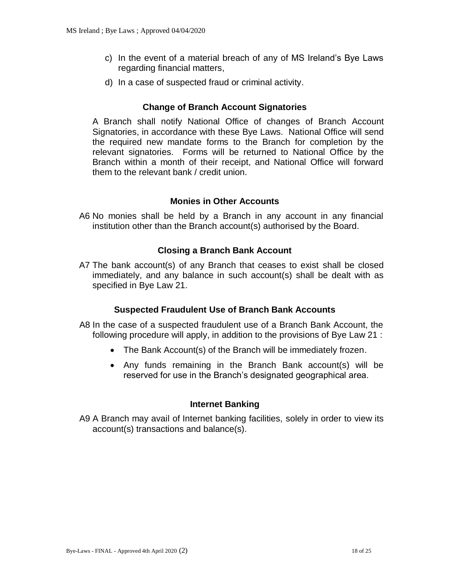- c) In the event of a material breach of any of MS Ireland's Bye Laws regarding financial matters,
- d) In a case of suspected fraud or criminal activity.

#### **Change of Branch Account Signatories**

A Branch shall notify National Office of changes of Branch Account Signatories, in accordance with these Bye Laws. National Office will send the required new mandate forms to the Branch for completion by the relevant signatories. Forms will be returned to National Office by the Branch within a month of their receipt, and National Office will forward them to the relevant bank / credit union.

#### **Monies in Other Accounts**

A6 No monies shall be held by a Branch in any account in any financial institution other than the Branch account(s) authorised by the Board.

#### **Closing a Branch Bank Account**

A7 The bank account(s) of any Branch that ceases to exist shall be closed immediately, and any balance in such account(s) shall be dealt with as specified in Bye Law 21.

#### **Suspected Fraudulent Use of Branch Bank Accounts**

- A8 In the case of a suspected fraudulent use of a Branch Bank Account, the following procedure will apply, in addition to the provisions of Bye Law 21 :
	- The Bank Account(s) of the Branch will be immediately frozen.
	- Any funds remaining in the Branch Bank account(s) will be reserved for use in the Branch's designated geographical area.

#### **Internet Banking**

A9 A Branch may avail of Internet banking facilities, solely in order to view its account(s) transactions and balance(s).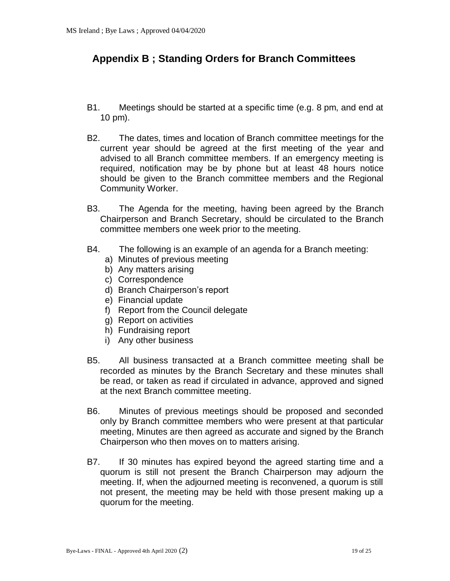## <span id="page-18-0"></span>**Appendix B ; Standing Orders for Branch Committees**

- B1. Meetings should be started at a specific time (e.g. 8 pm, and end at 10 pm).
- B2. The dates, times and location of Branch committee meetings for the current year should be agreed at the first meeting of the year and advised to all Branch committee members. If an emergency meeting is required, notification may be by phone but at least 48 hours notice should be given to the Branch committee members and the Regional Community Worker.
- B3. The Agenda for the meeting, having been agreed by the Branch Chairperson and Branch Secretary, should be circulated to the Branch committee members one week prior to the meeting.
- B4. The following is an example of an agenda for a Branch meeting:
	- a) Minutes of previous meeting
	- b) Any matters arising
	- c) Correspondence
	- d) Branch Chairperson's report
	- e) Financial update
	- f) Report from the Council delegate
	- g) Report on activities
	- h) Fundraising report
	- i) Any other business
- B5. All business transacted at a Branch committee meeting shall be recorded as minutes by the Branch Secretary and these minutes shall be read, or taken as read if circulated in advance, approved and signed at the next Branch committee meeting.
- B6. Minutes of previous meetings should be proposed and seconded only by Branch committee members who were present at that particular meeting, Minutes are then agreed as accurate and signed by the Branch Chairperson who then moves on to matters arising.
- B7. If 30 minutes has expired beyond the agreed starting time and a quorum is still not present the Branch Chairperson may adjourn the meeting. If, when the adjourned meeting is reconvened, a quorum is still not present, the meeting may be held with those present making up a quorum for the meeting.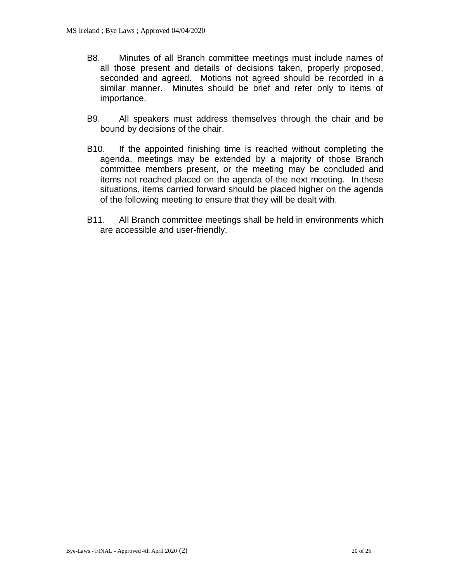- B8. Minutes of all Branch committee meetings must include names of all those present and details of decisions taken, properly proposed, seconded and agreed. Motions not agreed should be recorded in a similar manner. Minutes should be brief and refer only to items of importance.
- B9. All speakers must address themselves through the chair and be bound by decisions of the chair.
- B10. If the appointed finishing time is reached without completing the agenda, meetings may be extended by a majority of those Branch committee members present, or the meeting may be concluded and items not reached placed on the agenda of the next meeting. In these situations, items carried forward should be placed higher on the agenda of the following meeting to ensure that they will be dealt with.
- B11. All Branch committee meetings shall be held in environments which are accessible and user-friendly.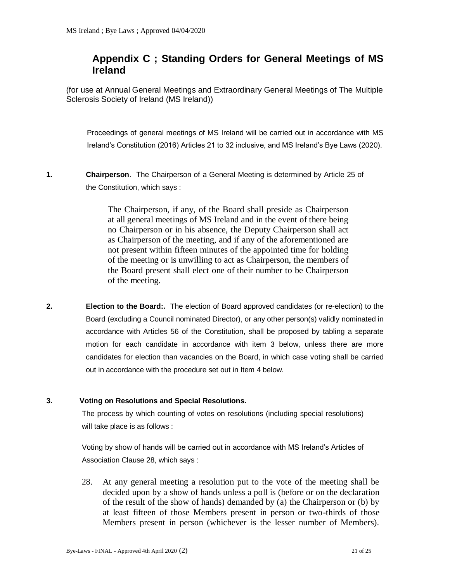## <span id="page-20-0"></span>**Appendix C ; Standing Orders for General Meetings of MS Ireland**

(for use at Annual General Meetings and Extraordinary General Meetings of The Multiple Sclerosis Society of Ireland (MS Ireland))

Proceedings of general meetings of MS Ireland will be carried out in accordance with MS Ireland's Constitution (2016) Articles 21 to 32 inclusive, and MS Ireland's Bye Laws (2020).

**1. Chairperson**. The Chairperson of a General Meeting is determined by Article 25 of the Constitution, which says :

> The Chairperson, if any, of the Board shall preside as Chairperson at all general meetings of MS Ireland and in the event of there being no Chairperson or in his absence, the Deputy Chairperson shall act as Chairperson of the meeting, and if any of the aforementioned are not present within fifteen minutes of the appointed time for holding of the meeting or is unwilling to act as Chairperson, the members of the Board present shall elect one of their number to be Chairperson of the meeting.

**2. Election to the Board:.** The election of Board approved candidates (or re-election) to the Board (excluding a Council nominated Director), or any other person(s) validly nominated in accordance with Articles 56 of the Constitution, shall be proposed by tabling a separate motion for each candidate in accordance with item 3 below, unless there are more candidates for election than vacancies on the Board, in which case voting shall be carried out in accordance with the procedure set out in Item 4 below.

#### **3. Voting on Resolutions and Special Resolutions.**

The process by which counting of votes on resolutions (including special resolutions) will take place is as follows :

Voting by show of hands will be carried out in accordance with MS Ireland's Articles of Association Clause 28, which says :

28. At any general meeting a resolution put to the vote of the meeting shall be decided upon by a show of hands unless a poll is (before or on the declaration of the result of the show of hands) demanded by (a) the Chairperson or (b) by at least fifteen of those Members present in person or two-thirds of those Members present in person (whichever is the lesser number of Members).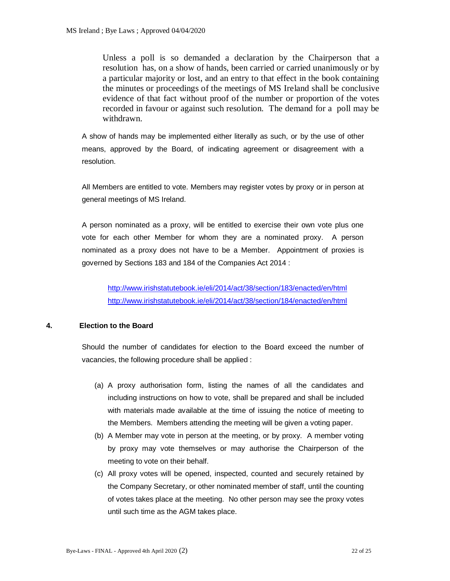Unless a poll is so demanded a declaration by the Chairperson that a resolution has, on a show of hands, been carried or carried unanimously or by a particular majority or lost, and an entry to that effect in the book containing the minutes or proceedings of the meetings of MS Ireland shall be conclusive evidence of that fact without proof of the number or proportion of the votes recorded in favour or against such resolution. The demand for a poll may be withdrawn.

A show of hands may be implemented either literally as such, or by the use of other means, approved by the Board, of indicating agreement or disagreement with a resolution.

All Members are entitled to vote. Members may register votes by proxy or in person at general meetings of MS Ireland.

A person nominated as a proxy, will be entitled to exercise their own vote plus one vote for each other Member for whom they are a nominated proxy. A person nominated as a proxy does not have to be a Member. Appointment of proxies is governed by Sections 183 and 184 of the Companies Act 2014 :

<http://www.irishstatutebook.ie/eli/2014/act/38/section/183/enacted/en/html> <http://www.irishstatutebook.ie/eli/2014/act/38/section/184/enacted/en/html>

#### **4. Election to the Board**

Should the number of candidates for election to the Board exceed the number of vacancies, the following procedure shall be applied :

- (a) A proxy authorisation form, listing the names of all the candidates and including instructions on how to vote, shall be prepared and shall be included with materials made available at the time of issuing the notice of meeting to the Members. Members attending the meeting will be given a voting paper.
- (b) A Member may vote in person at the meeting, or by proxy. A member voting by proxy may vote themselves or may authorise the Chairperson of the meeting to vote on their behalf.
- (c) All proxy votes will be opened, inspected, counted and securely retained by the Company Secretary, or other nominated member of staff, until the counting of votes takes place at the meeting. No other person may see the proxy votes until such time as the AGM takes place.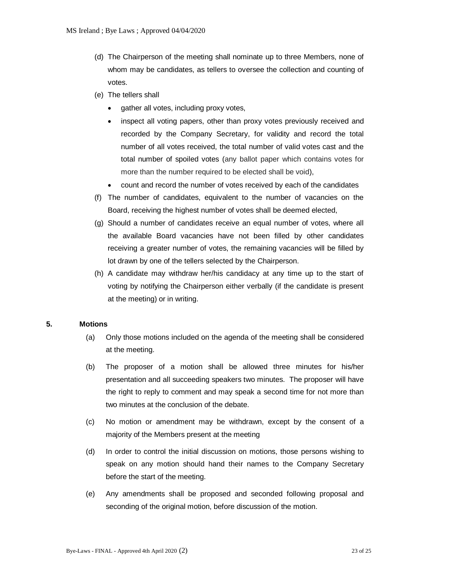- (d) The Chairperson of the meeting shall nominate up to three Members, none of whom may be candidates, as tellers to oversee the collection and counting of votes.
- (e) The tellers shall
	- gather all votes, including proxy votes,
	- inspect all voting papers, other than proxy votes previously received and recorded by the Company Secretary, for validity and record the total number of all votes received, the total number of valid votes cast and the total number of spoiled votes (any ballot paper which contains votes for more than the number required to be elected shall be void),
	- count and record the number of votes received by each of the candidates
- (f) The number of candidates, equivalent to the number of vacancies on the Board, receiving the highest number of votes shall be deemed elected,
- (g) Should a number of candidates receive an equal number of votes, where all the available Board vacancies have not been filled by other candidates receiving a greater number of votes, the remaining vacancies will be filled by lot drawn by one of the tellers selected by the Chairperson.
- (h) A candidate may withdraw her/his candidacy at any time up to the start of voting by notifying the Chairperson either verbally (if the candidate is present at the meeting) or in writing.

#### **5. Motions**

- (a) Only those motions included on the agenda of the meeting shall be considered at the meeting.
- (b) The proposer of a motion shall be allowed three minutes for his/her presentation and all succeeding speakers two minutes. The proposer will have the right to reply to comment and may speak a second time for not more than two minutes at the conclusion of the debate.
- (c) No motion or amendment may be withdrawn, except by the consent of a majority of the Members present at the meeting
- (d) In order to control the initial discussion on motions, those persons wishing to speak on any motion should hand their names to the Company Secretary before the start of the meeting.
- (e) Any amendments shall be proposed and seconded following proposal and seconding of the original motion, before discussion of the motion.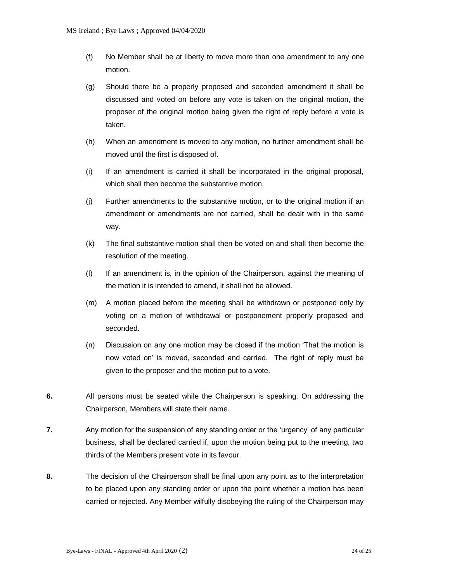- (f) No Member shall be at liberty to move more than one amendment to any one motion.
- (g) Should there be a properly proposed and seconded amendment it shall be discussed and voted on before any vote is taken on the original motion, the proposer of the original motion being given the right of reply before a vote is taken.
- (h) When an amendment is moved to any motion, no further amendment shall be moved until the first is disposed of.
- (i) If an amendment is carried it shall be incorporated in the original proposal, which shall then become the substantive motion.
- (j) Further amendments to the substantive motion, or to the original motion if an amendment or amendments are not carried, shall be dealt with in the same way.
- (k) The final substantive motion shall then be voted on and shall then become the resolution of the meeting.
- (l) If an amendment is, in the opinion of the Chairperson, against the meaning of the motion it is intended to amend, it shall not be allowed.
- (m) A motion placed before the meeting shall be withdrawn or postponed only by voting on a motion of withdrawal or postponement properly proposed and seconded.
- (n) Discussion on any one motion may be closed if the motion 'That the motion is now voted on' is moved, seconded and carried. The right of reply must be given to the proposer and the motion put to a vote.
- **6.** All persons must be seated while the Chairperson is speaking. On addressing the Chairperson, Members will state their name.
- **7.** Any motion for the suspension of any standing order or the 'urgency' of any particular business, shall be declared carried if, upon the motion being put to the meeting, two thirds of the Members present vote in its favour.
- **8.** The decision of the Chairperson shall be final upon any point as to the interpretation to be placed upon any standing order or upon the point whether a motion has been carried or rejected. Any Member wilfully disobeying the ruling of the Chairperson may